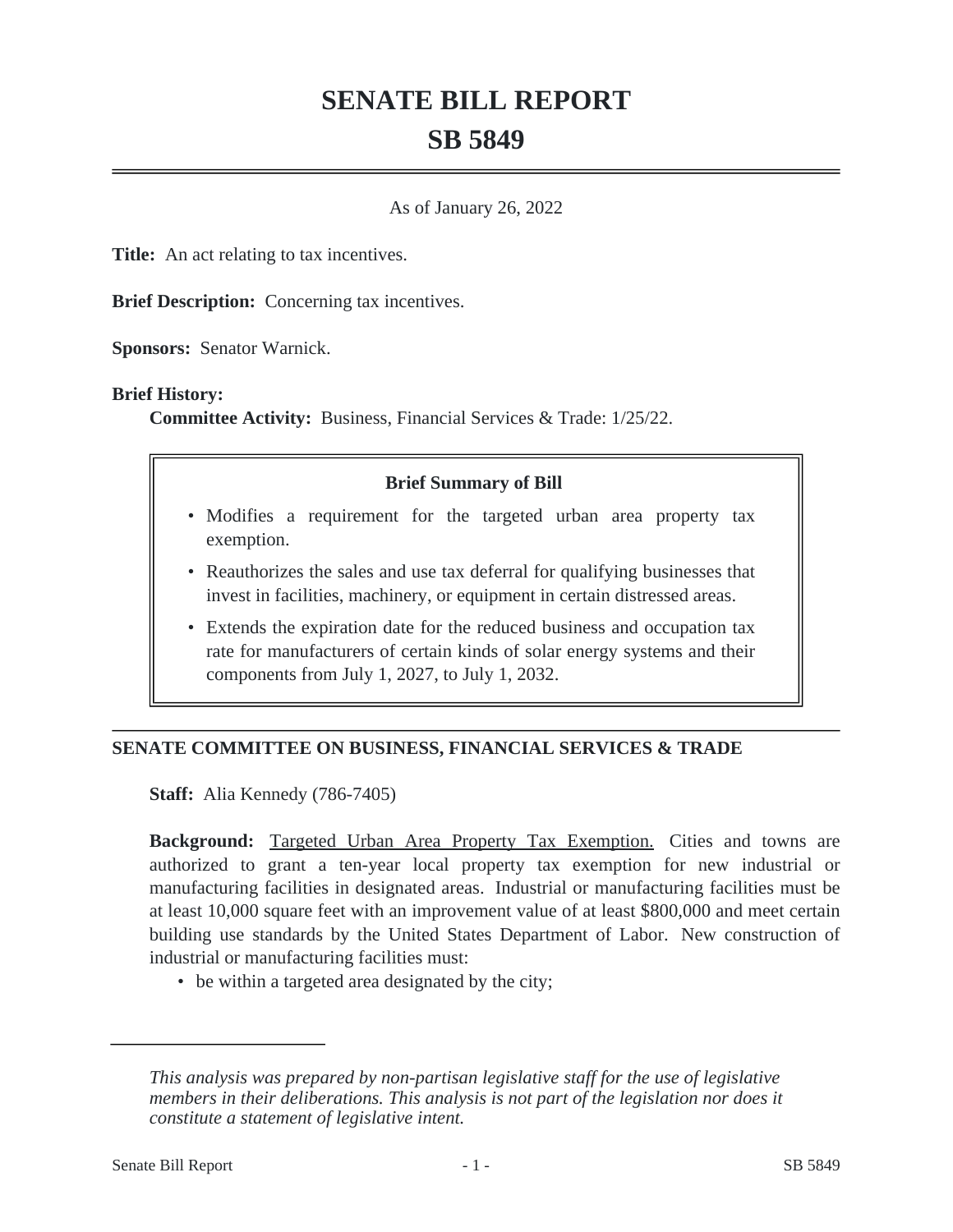# **SENATE BILL REPORT SB 5849**

As of January 26, 2022

**Title:** An act relating to tax incentives.

**Brief Description:** Concerning tax incentives.

**Sponsors:** Senator Warnick.

#### **Brief History:**

**Committee Activity:** Business, Financial Services & Trade: 1/25/22.

### **Brief Summary of Bill**

- Modifies a requirement for the targeted urban area property tax exemption.
- Reauthorizes the sales and use tax deferral for qualifying businesses that invest in facilities, machinery, or equipment in certain distressed areas.
- Extends the expiration date for the reduced business and occupation tax rate for manufacturers of certain kinds of solar energy systems and their components from July 1, 2027, to July 1, 2032.

## **SENATE COMMITTEE ON BUSINESS, FINANCIAL SERVICES & TRADE**

**Staff:** Alia Kennedy (786-7405)

**Background:** Targeted Urban Area Property Tax Exemption. Cities and towns are authorized to grant a ten-year local property tax exemption for new industrial or manufacturing facilities in designated areas. Industrial or manufacturing facilities must be at least 10,000 square feet with an improvement value of at least \$800,000 and meet certain building use standards by the United States Department of Labor. New construction of industrial or manufacturing facilities must:

• be within a targeted area designated by the city;

*This analysis was prepared by non-partisan legislative staff for the use of legislative members in their deliberations. This analysis is not part of the legislation nor does it constitute a statement of legislative intent.*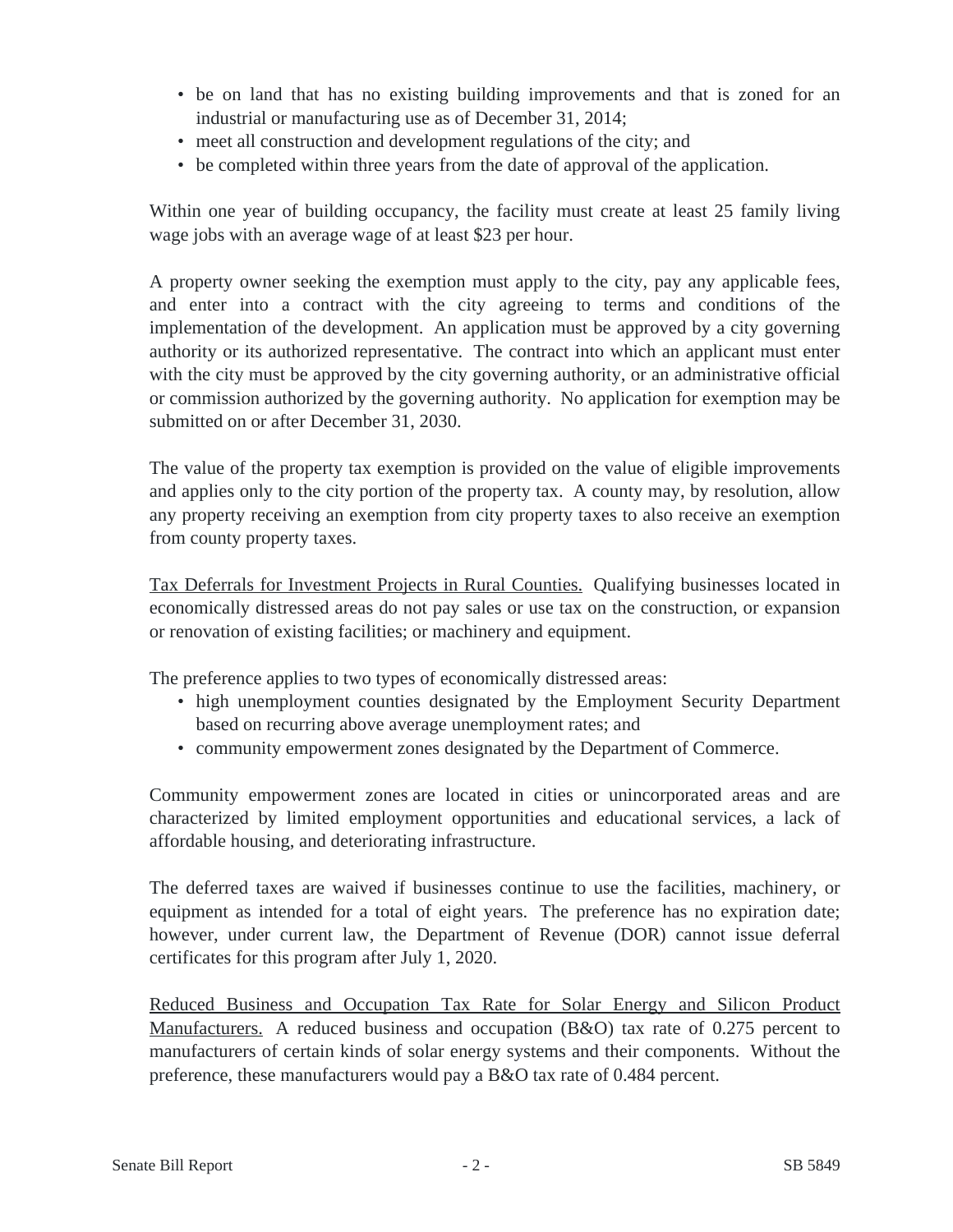- be on land that has no existing building improvements and that is zoned for an industrial or manufacturing use as of December 31, 2014;
- meet all construction and development regulations of the city; and
- be completed within three years from the date of approval of the application.

Within one year of building occupancy, the facility must create at least 25 family living wage jobs with an average wage of at least \$23 per hour.

A property owner seeking the exemption must apply to the city, pay any applicable fees, and enter into a contract with the city agreeing to terms and conditions of the implementation of the development. An application must be approved by a city governing authority or its authorized representative. The contract into which an applicant must enter with the city must be approved by the city governing authority, or an administrative official or commission authorized by the governing authority. No application for exemption may be submitted on or after December 31, 2030.

The value of the property tax exemption is provided on the value of eligible improvements and applies only to the city portion of the property tax. A county may, by resolution, allow any property receiving an exemption from city property taxes to also receive an exemption from county property taxes.

Tax Deferrals for Investment Projects in Rural Counties. Qualifying businesses located in economically distressed areas do not pay sales or use tax on the construction, or expansion or renovation of existing facilities; or machinery and equipment.

The preference applies to two types of economically distressed areas:

- high unemployment counties designated by the Employment Security Department based on recurring above average unemployment rates; and
- community empowerment zones designated by the Department of Commerce.

Community empowerment zones are located in cities or unincorporated areas and are characterized by limited employment opportunities and educational services, a lack of affordable housing, and deteriorating infrastructure.

The deferred taxes are waived if businesses continue to use the facilities, machinery, or equipment as intended for a total of eight years. The preference has no expiration date; however, under current law, the Department of Revenue (DOR) cannot issue deferral certificates for this program after July 1, 2020.

Reduced Business and Occupation Tax Rate for Solar Energy and Silicon Product Manufacturers. A reduced business and occupation (B&O) tax rate of 0.275 percent to manufacturers of certain kinds of solar energy systems and their components. Without the preference, these manufacturers would pay a B&O tax rate of 0.484 percent.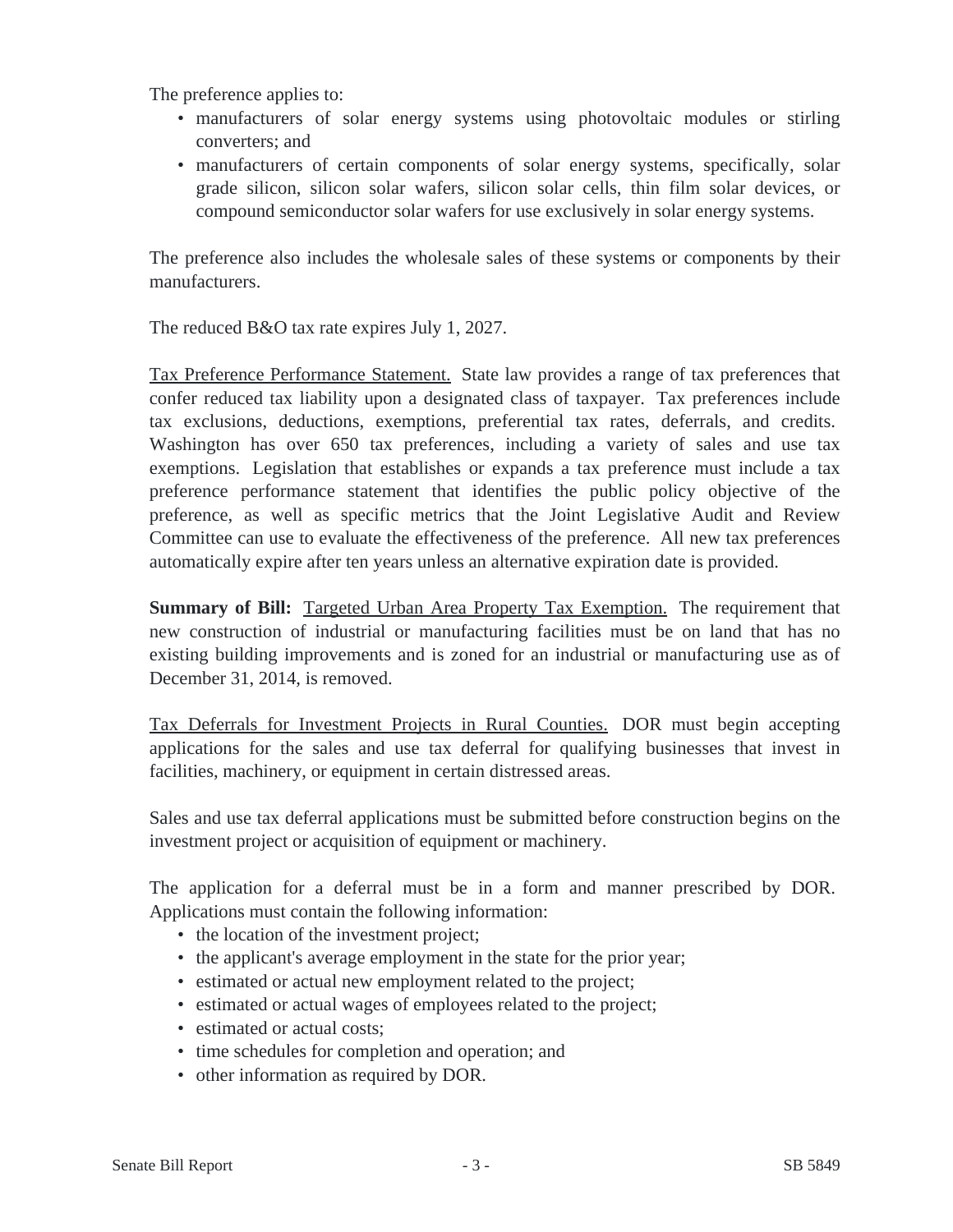The preference applies to:

- manufacturers of solar energy systems using photovoltaic modules or stirling converters; and
- manufacturers of certain components of solar energy systems, specifically, solar grade silicon, silicon solar wafers, silicon solar cells, thin film solar devices, or compound semiconductor solar wafers for use exclusively in solar energy systems.

The preference also includes the wholesale sales of these systems or components by their manufacturers.

The reduced B&O tax rate expires July 1, 2027.

Tax Preference Performance Statement. State law provides a range of tax preferences that confer reduced tax liability upon a designated class of taxpayer. Tax preferences include tax exclusions, deductions, exemptions, preferential tax rates, deferrals, and credits. Washington has over 650 tax preferences, including a variety of sales and use tax exemptions. Legislation that establishes or expands a tax preference must include a tax preference performance statement that identifies the public policy objective of the preference, as well as specific metrics that the Joint Legislative Audit and Review Committee can use to evaluate the effectiveness of the preference. All new tax preferences automatically expire after ten years unless an alternative expiration date is provided.

**Summary of Bill:** Targeted Urban Area Property Tax Exemption. The requirement that new construction of industrial or manufacturing facilities must be on land that has no existing building improvements and is zoned for an industrial or manufacturing use as of December 31, 2014, is removed.

Tax Deferrals for Investment Projects in Rural Counties. DOR must begin accepting applications for the sales and use tax deferral for qualifying businesses that invest in facilities, machinery, or equipment in certain distressed areas.

Sales and use tax deferral applications must be submitted before construction begins on the investment project or acquisition of equipment or machinery.

The application for a deferral must be in a form and manner prescribed by DOR. Applications must contain the following information:

- the location of the investment project;
- the applicant's average employment in the state for the prior year;
- estimated or actual new employment related to the project;
- estimated or actual wages of employees related to the project;
- estimated or actual costs;
- time schedules for completion and operation; and
- other information as required by DOR.